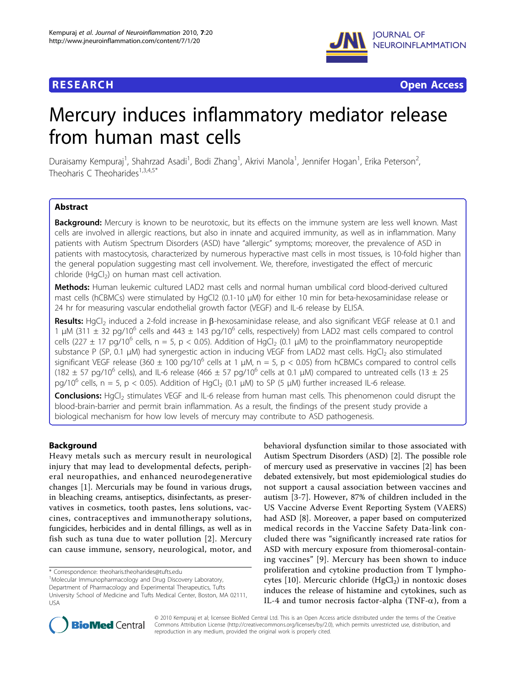



# Mercury induces inflammatory mediator release from human mast cells

Duraisamy Kempuraj<sup>1</sup>, Shahrzad Asadi<sup>1</sup>, Bodi Zhang<sup>1</sup>, Akrivi Manola<sup>1</sup>, Jennifer Hogan<sup>1</sup>, Erika Peterson<sup>2</sup> .<br>, Theoharis C Theoharides<sup>1,3,4,5\*</sup>

# Abstract

Background: Mercury is known to be neurotoxic, but its effects on the immune system are less well known. Mast cells are involved in allergic reactions, but also in innate and acquired immunity, as well as in inflammation. Many patients with Autism Spectrum Disorders (ASD) have "allergic" symptoms; moreover, the prevalence of ASD in patients with mastocytosis, characterized by numerous hyperactive mast cells in most tissues, is 10-fold higher than the general population suggesting mast cell involvement. We, therefore, investigated the effect of mercuric chloride (HgCl<sub>2</sub>) on human mast cell activation.

Methods: Human leukemic cultured LAD2 mast cells and normal human umbilical cord blood-derived cultured mast cells (hCBMCs) were stimulated by HgCl2 (0.1-10 μM) for either 10 min for beta-hexosaminidase release or 24 hr for measuring vascular endothelial growth factor (VEGF) and IL-6 release by ELISA.

Results: HgCl<sub>2</sub> induced a 2-fold increase in  $\beta$ -hexosaminidase release, and also significant VEGF release at 0.1 and 1 μM (311  $\pm$  32 pg/10<sup>6</sup> cells and 443  $\pm$  143 pg/10<sup>6</sup> cells, respectively) from LAD2 mast cells compared to control cells (227  $\pm$  17 pg/10<sup>6</sup> cells, n = 5, p < 0.05). Addition of HgCl<sub>2</sub> (0.1 µM) to the proinflammatory neuropeptide substance P (SP, 0.1 μM) had synergestic action in inducing VEGF from LAD2 mast cells. HgCl<sub>2</sub> also stimulated significant VEGF release (360  $\pm$  100 pg/10<sup>6</sup> cells at 1  $\mu$ M, n = 5, p < 0.05) from hCBMCs compared to control cells (182  $\pm$  57 pg/10<sup>6</sup> cells), and IL-6 release (466  $\pm$  57 pg/10<sup>6</sup> cells at 0.1 µM) compared to untreated cells (13  $\pm$  25 pg/10<sup>6</sup> cells, n = 5, p < 0.05). Addition of HgCl<sub>2</sub> (0.1  $\mu$ M) to SP (5  $\mu$ M) further increased IL-6 release.

**Conclusions:** HgCl<sub>2</sub> stimulates VEGF and IL-6 release from human mast cells. This phenomenon could disrupt the blood-brain-barrier and permit brain inflammation. As a result, the findings of the present study provide a biological mechanism for how low levels of mercury may contribute to ASD pathogenesis.

# Background

Heavy metals such as mercury result in neurological injury that may lead to developmental defects, peripheral neuropathies, and enhanced neurodegenerative changes [\[1](#page-5-0)]. Mercurials may be found in various drugs, in bleaching creams, antiseptics, disinfectants, as preservatives in cosmetics, tooth pastes, lens solutions, vaccines, contraceptives and immunotherapy solutions, fungicides, herbicides and in dental fillings, as well as in fish such as tuna due to water pollution [[2\]](#page-5-0). Mercury can cause immune, sensory, neurological, motor, and

\* Correspondence: [theoharis.theoharides@tufts.edu](mailto:theoharis.theoharides@tufts.edu)

<sup>1</sup>Molecular Immunopharmacology and Drug Discovery Laboratory, Department of Pharmacology and Experimental Therapeutics, Tufts University School of Medicine and Tufts Medical Center, Boston, MA 02111, USA

behavioral dysfunction similar to those associated with Autism Spectrum Disorders (ASD) [\[2](#page-5-0)]. The possible role of mercury used as preservative in vaccines [[2\]](#page-5-0) has been debated extensively, but most epidemiological studies do not support a causal association between vaccines and autism [\[3-7](#page-5-0)]. However, 87% of children included in the US Vaccine Adverse Event Reporting System (VAERS) had ASD [[8\]](#page-5-0). Moreover, a paper based on computerized medical records in the Vaccine Safety Data-link concluded there was "significantly increased rate ratios for ASD with mercury exposure from thiomerosal-containing vaccines" [[9](#page-5-0)]. Mercury has been shown to induce proliferation and cytokine production from T lympho-cytes [[10\]](#page-5-0). Mercuric chloride  $(HgCl<sub>2</sub>)$  in nontoxic doses induces the release of histamine and cytokines, such as IL-4 and tumor necrosis factor-alpha (TNF- $\alpha$ ), from a



© 2010 Kempuraj et al; licensee BioMed Central Ltd. This is an Open Access article distributed under the terms of the Creative Commons Attribution License [\(http://creativecommons.org/licenses/by/2.0](http://creativecommons.org/licenses/by/2.0)), which permits unrestricted use, distribution, and reproduction in any medium, provided the original work is properly cited.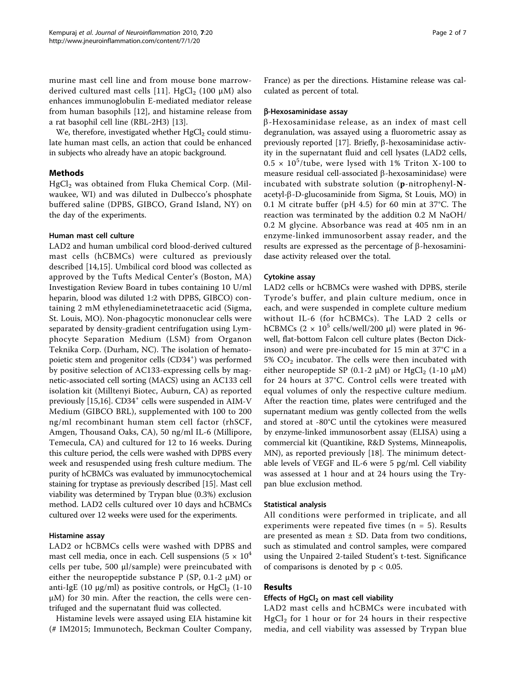murine mast cell line and from mouse bone marrow-derived cultured mast cells [[11\]](#page-5-0). HgCl<sub>2</sub> (100  $\mu$ M) also enhances immunoglobulin E-mediated mediator release from human basophils [[12\]](#page-5-0), and histamine release from a rat basophil cell line (RBL-2H3) [[13\]](#page-5-0).

We, therefore, investigated whether  $HgCl<sub>2</sub>$  could stimulate human mast cells, an action that could be enhanced in subjects who already have an atopic background.

# Methods

 $HgCl<sub>2</sub>$  was obtained from Fluka Chemical Corp. (Milwaukee, WI) and was diluted in Dulbecco's phosphate buffered saline (DPBS, GIBCO, Grand Island, NY) on the day of the experiments.

## Human mast cell culture

LAD2 and human umbilical cord blood-derived cultured mast cells (hCBMCs) were cultured as previously described [\[14](#page-5-0),[15\]](#page-5-0). Umbilical cord blood was collected as approved by the Tufts Medical Center's (Boston, MA) Investigation Review Board in tubes containing 10 U/ml heparin, blood was diluted 1:2 with DPBS, GIBCO) containing 2 mM ethylenediaminetetraacetic acid (Sigma, St. Louis, MO). Non-phagocytic mononuclear cells were separated by density-gradient centrifugation using Lymphocyte Separation Medium (LSM) from Organon Teknika Corp. (Durham, NC). The isolation of hematopoietic stem and progenitor cells (CD34<sup>+</sup>) was performed by positive selection of AC133-expressing cells by magnetic-associated cell sorting (MACS) using an AC133 cell isolation kit (Milltenyi Biotec, Auburn, CA) as reported previously [[15,16](#page-5-0)]. CD34<sup>+</sup> cells were suspended in AIM-V Medium (GIBCO BRL), supplemented with 100 to 200 ng/ml recombinant human stem cell factor (rhSCF, Amgen, Thousand Oaks, CA), 50 ng/ml IL-6 (Millipore, Temecula, CA) and cultured for 12 to 16 weeks. During this culture period, the cells were washed with DPBS every week and resuspended using fresh culture medium. The purity of hCBMCs was evaluated by immunocytochemical staining for tryptase as previously described [[15](#page-5-0)]. Mast cell viability was determined by Trypan blue (0.3%) exclusion method. LAD2 cells cultured over 10 days and hCBMCs cultured over 12 weeks were used for the experiments.

# Histamine assay

LAD2 or hCBMCs cells were washed with DPBS and mast cell media, once in each. Cell suspensions  $(5 \times 10^4)$ cells per tube, 500 μl/sample) were preincubated with either the neuropeptide substance  $P(SP, 0.1-2 \mu M)$  or anti-IgE (10  $\mu$ g/ml) as positive controls, or HgCl<sub>2</sub> (1-10) μM) for 30 min. After the reaction, the cells were centrifuged and the supernatant fluid was collected.

Histamine levels were assayed using EIA histamine kit (# IM2015; Immunotech, Beckman Coulter Company, France) as per the directions. Histamine release was calculated as percent of total.

## b-Hexosaminidase assay

 $\beta$ -Hexosaminidase release, as an index of mast cell degranulation, was assayed using a fluorometric assay as previously reported [\[17](#page-5-0)]. Briefly,  $\beta$ -hexosaminidase activity in the supernatant fluid and cell lysates (LAD2 cells,  $0.5 \times 10^5$ /tube, were lysed with 1% Triton X-100 to measure residual cell-associated  $\beta$ -hexosaminidase) were incubated with substrate solution (p-nitrophenyl-Nacetyl-b-D-glucosaminide from Sigma, St Louis, MO) in 0.1 M citrate buffer (pH 4.5) for 60 min at 37°C. The reaction was terminated by the addition 0.2 M NaOH/ 0.2 M glycine. Absorbance was read at 405 nm in an enzyme-linked immunosorbent assay reader, and the results are expressed as the percentage of  $\beta$ -hexosaminidase activity released over the total.

### Cytokine assay

LAD2 cells or hCBMCs were washed with DPBS, sterile Tyrode's buffer, and plain culture medium, once in each, and were suspended in complete culture medium without IL-6 (for hCBMCs). The LAD 2 cells or hCBMCs  $(2 \times 10^5 \text{ cells/well}/200 \text{ µl})$  were plated in 96well, flat-bottom Falcon cell culture plates (Becton Dickinson) and were pre-incubated for 15 min at 37°C in a 5%  $CO<sub>2</sub>$  incubator. The cells were then incubated with either neuropeptide SP (0.1-2  $\mu$ M) or HgCl<sub>2</sub> (1-10  $\mu$ M) for 24 hours at 37°C. Control cells were treated with equal volumes of only the respective culture medium. After the reaction time, plates were centrifuged and the supernatant medium was gently collected from the wells and stored at -80°C until the cytokines were measured by enzyme-linked immunosorbent assay (ELISA) using a commercial kit (Quantikine, R&D Systems, Minneapolis, MN), as reported previously [\[18](#page-5-0)]. The minimum detectable levels of VEGF and IL-6 were 5 pg/ml. Cell viability was assessed at 1 hour and at 24 hours using the Trypan blue exclusion method.

### Statistical analysis

All conditions were performed in triplicate, and all experiments were repeated five times ( $n = 5$ ). Results are presented as mean  $\pm$  SD. Data from two conditions, such as stimulated and control samples, were compared using the Unpaired 2-tailed Student's t-test. Significance of comparisons is denoted by  $p < 0.05$ .

# Results

## Effects of  $HgCl<sub>2</sub>$  on mast cell viability

LAD2 mast cells and hCBMCs were incubated with  $HgCl<sub>2</sub>$  for 1 hour or for 24 hours in their respective media, and cell viability was assessed by Trypan blue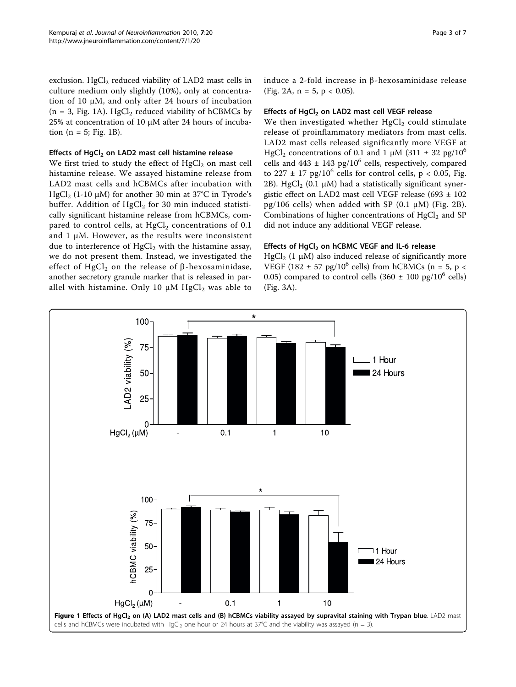exclusion.  $HgCl<sub>2</sub>$  reduced viability of LAD2 mast cells in culture medium only slightly (10%), only at concentration of 10 μM, and only after 24 hours of incubation  $(n = 3, Fig. 1A)$ . HgCl<sub>2</sub> reduced viability of hCBMCs by 25% at concentration of 10 μM after 24 hours of incubation ( $n = 5$ ; Fig. 1B).

## Effects of HgCl<sub>2</sub> on LAD2 mast cell histamine release

We first tried to study the effect of  $HgCl<sub>2</sub>$  on mast cell histamine release. We assayed histamine release from LAD2 mast cells and hCBMCs after incubation with HgCl<sub>2</sub> (1-10 μM) for another 30 min at 37<sup>°</sup>C in Tyrode's buffer. Addition of  $HgCl<sub>2</sub>$  for 30 min induced statistically significant histamine release from hCBMCs, compared to control cells, at  $HgCl<sub>2</sub>$  concentrations of 0.1 and  $1 \mu$ M. However, as the results were inconsistent due to interference of  $HgCl<sub>2</sub>$  with the histamine assay, we do not present them. Instead, we investigated the effect of HgCl<sub>2</sub> on the release of  $\beta$ -hexosaminidase, another secretory granule marker that is released in parallel with histamine. Only 10  $\mu$ M HgCl<sub>2</sub> was able to induce a 2-fold increase in  $\beta$ -hexosaminidase release (Fig. [2A](#page-3-0),  $n = 5$ ,  $p < 0.05$ ).

# Effects of  $HgCl<sub>2</sub>$  on LAD2 mast cell VEGF release

We then investigated whether  $HgCl<sub>2</sub>$  could stimulate release of proinflammatory mediators from mast cells. LAD2 mast cells released significantly more VEGF at HgCl<sub>2</sub> concentrations of 0.1 and 1 μM (311  $\pm$  32 pg/10<sup>6</sup> cells and  $443 \pm 143$  pg/10<sup>6</sup> cells, respectively, compared to 227  $\pm$  17 pg/10<sup>6</sup> cells for control cells, p < 0.05, Fig. [2B](#page-3-0)). HgCl<sub>2</sub> (0.1  $\mu$ M) had a statistically significant synergistic effect on LAD2 mast cell VEGF release (693 ± 102 pg/106 cells) when added with SP (0.1  $\mu$ M) (Fig. [2B\)](#page-3-0). Combinations of higher concentrations of  $HgCl<sub>2</sub>$  and SP did not induce any additional VEGF release.

# Effects of HgCl<sub>2</sub> on hCBMC VEGF and IL-6 release

HgCl<sub>2</sub> (1 μM) also induced release of significantly more VEGF (182  $\pm$  57 pg/10<sup>6</sup> cells) from hCBMCs (n = 5, p < 0.05) compared to control cells  $(360 \pm 100 \text{ pg}/10^6 \text{ cells})$ (Fig. [3A](#page-3-0)).

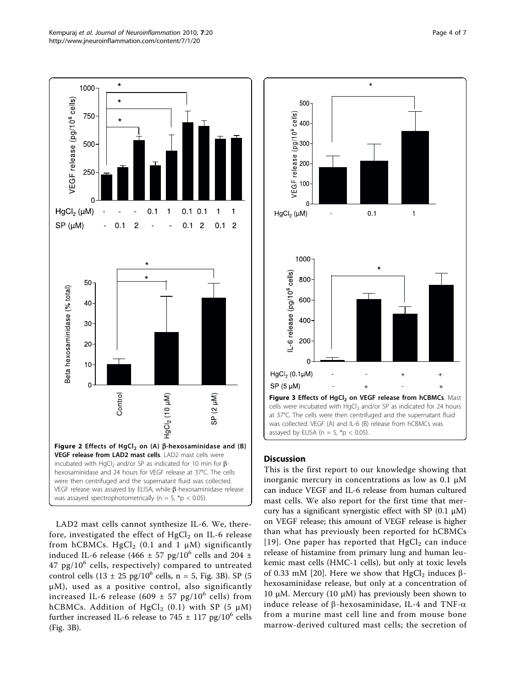<span id="page-3-0"></span>

LAD2 mast cells cannot synthesize IL-6. We, therefore, investigated the effect of  $HgCl<sub>2</sub>$  on IL-6 release from hCBMCs. HgCl<sub>2</sub> (0.1 and 1  $\mu$ M) significantly induced IL-6 release (466  $\pm$  57 pg/10<sup>6</sup> cells and 204  $\pm$  $47$  pg/ $10^6$  cells, respectively) compared to untreated control cells  $(13 \pm 25 \text{ pg}/10^6 \text{ cells}, n = 5, \text{Fig. 3B}).$  SP (5) μM), used as a positive control, also significantly increased IL-6 release (609  $\pm$  57 pg/10<sup>6</sup> cells) from hCBMCs. Addition of HgCl<sub>2</sub> (0.1) with SP (5  $\mu$ M) further increased IL-6 release to 745  $\pm$  117 pg/10<sup>6</sup> cells (Fig. 3B).



# **Discussion**

This is the first report to our knowledge showing that inorganic mercury in concentrations as low as  $0.1 \mu M$ can induce VEGF and IL-6 release from human cultured mast cells. We also report for the first time that mercury has a significant synergistic effect with SP (0.1 μM) on VEGF release; this amount of VEGF release is higher than what has previously been reported for hCBMCs [[19\]](#page-5-0). One paper has reported that  $HgCl<sub>2</sub>$  can induce release of histamine from primary lung and human leukemic mast cells (HMC-1 cells), but only at toxic levels of 0.33 mM [[20\]](#page-5-0). Here we show that HgCl<sub>2</sub> induces  $\beta$ hexosaminidase release, but only at a concentration of 10 μM. Mercury (10 μM) has previously been shown to induce release of  $\beta$ -hexosaminidase, IL-4 and TNF- $\alpha$ from a murine mast cell line and from mouse bone marrow-derived cultured mast cells; the secretion of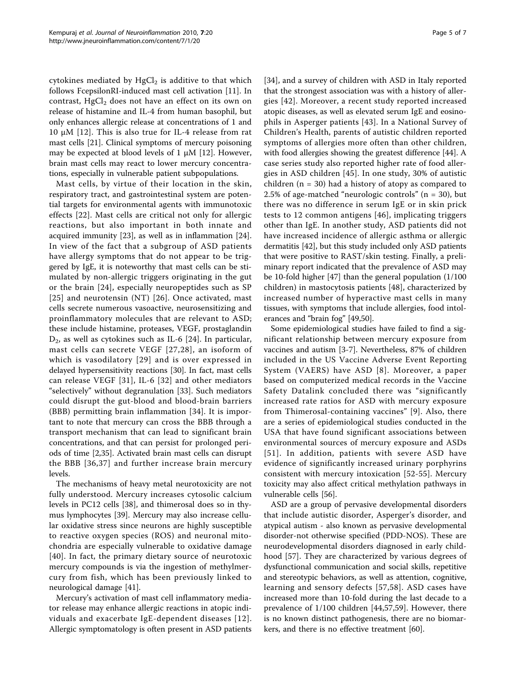cytokines mediated by  $HgCl<sub>2</sub>$  is additive to that which follows FcepsilonRI-induced mast cell activation [\[11](#page-5-0)]. In contrast,  $HgCl<sub>2</sub>$  does not have an effect on its own on release of histamine and IL-4 from human basophil, but only enhances allergic release at concentrations of 1 and 10 μM [[12](#page-5-0)]. This is also true for IL-4 release from rat mast cells [[21\]](#page-5-0). Clinical symptoms of mercury poisoning may be expected at blood levels of 1 μM [\[12](#page-5-0)]. However, brain mast cells may react to lower mercury concentrations, especially in vulnerable patient subpopulations.

Mast cells, by virtue of their location in the skin, respiratory tract, and gastrointestinal system are potential targets for environmental agents with immunotoxic effects [[22\]](#page-5-0). Mast cells are critical not only for allergic reactions, but also important in both innate and acquired immunity [[23](#page-6-0)], as well as in inflammation [\[24](#page-6-0)]. In view of the fact that a subgroup of ASD patients have allergy symptoms that do not appear to be triggered by IgE, it is noteworthy that mast cells can be stimulated by non-allergic triggers originating in the gut or the brain [[24](#page-6-0)], especially neuropeptides such as SP [[25](#page-6-0)] and neurotensin (NT) [[26](#page-6-0)]. Once activated, mast cells secrete numerous vasoactive, neurosensitizing and proinflammatory molecules that are relevant to ASD; these include histamine, proteases, VEGF, prostaglandin  $D_2$ , as well as cytokines such as IL-6 [\[24](#page-6-0)]. In particular, mast cells can secrete VEGF [[27,28\]](#page-6-0), an isoform of which is vasodilatory [[29](#page-6-0)] and is over expressed in delayed hypersensitivity reactions [[30\]](#page-6-0). In fact, mast cells can release VEGF [\[31\]](#page-6-0), IL-6 [\[32\]](#page-6-0) and other mediators "selectively" without degranulation [[33](#page-6-0)]. Such mediators could disrupt the gut-blood and blood-brain barriers (BBB) permitting brain inflammation [[34](#page-6-0)]. It is important to note that mercury can cross the BBB through a transport mechanism that can lead to significant brain concentrations, and that can persist for prolonged periods of time [[2,](#page-5-0)[35](#page-6-0)]. Activated brain mast cells can disrupt the BBB [[36](#page-6-0),[37](#page-6-0)] and further increase brain mercury levels.

The mechanisms of heavy metal neurotoxicity are not fully understood. Mercury increases cytosolic calcium levels in PC12 cells [[38\]](#page-6-0), and thimerosal does so in thymus lymphocytes [[39\]](#page-6-0). Mercury may also increase cellular oxidative stress since neurons are highly susceptible to reactive oxygen species (ROS) and neuronal mitochondria are especially vulnerable to oxidative damage [[40](#page-6-0)]. In fact, the primary dietary source of neurotoxic mercury compounds is via the ingestion of methylmercury from fish, which has been previously linked to neurological damage [\[41](#page-6-0)].

Mercury's activation of mast cell inflammatory mediator release may enhance allergic reactions in atopic individuals and exacerbate IgE-dependent diseases [[12\]](#page-5-0). Allergic symptomatology is often present in ASD patients

[[34\]](#page-6-0), and a survey of children with ASD in Italy reported that the strongest association was with a history of allergies [[42](#page-6-0)]. Moreover, a recent study reported increased atopic diseases, as well as elevated serum IgE and eosinophils in Asperger patients [[43](#page-6-0)]. In a National Survey of Children's Health, parents of autistic children reported symptoms of allergies more often than other children, with food allergies showing the greatest difference [[44\]](#page-6-0). A case series study also reported higher rate of food allergies in ASD children [[45](#page-6-0)]. In one study, 30% of autistic children ( $n = 30$ ) had a history of atopy as compared to 2.5% of age-matched "neurologic controls" (n = 30), but there was no difference in serum IgE or in skin prick tests to 12 common antigens [[46\]](#page-6-0), implicating triggers other than IgE. In another study, ASD patients did not have increased incidence of allergic asthma or allergic dermatitis [\[42](#page-6-0)], but this study included only ASD patients that were positive to RAST/skin testing. Finally, a preliminary report indicated that the prevalence of ASD may be 10-fold higher [[47\]](#page-6-0) than the general population (1/100 children) in mastocytosis patients [[48\]](#page-6-0), characterized by increased number of hyperactive mast cells in many tissues, with symptoms that include allergies, food intolerances and "brain fog" [[49,50\]](#page-6-0).

Some epidemiological studies have failed to find a significant relationship between mercury exposure from vaccines and autism [\[3](#page-5-0)-[7\]](#page-5-0). Nevertheless, 87% of children included in the US Vaccine Adverse Event Reporting System (VAERS) have ASD [[8](#page-5-0)]. Moreover, a paper based on computerized medical records in the Vaccine Safety Datalink concluded there was "significantly increased rate ratios for ASD with mercury exposure from Thimerosal-containing vaccines" [[9](#page-5-0)]. Also, there are a series of epidemiological studies conducted in the USA that have found significant associations between environmental sources of mercury exposure and ASDs [[51](#page-6-0)]. In addition, patients with severe ASD have evidence of significantly increased urinary porphyrins consistent with mercury intoxication [\[52-55](#page-6-0)]. Mercury toxicity may also affect critical methylation pathways in vulnerable cells [\[56\]](#page-6-0).

ASD are a group of pervasive developmental disorders that include autistic disorder, Asperger's disorder, and atypical autism - also known as pervasive developmental disorder-not otherwise specified (PDD-NOS). These are neurodevelopmental disorders diagnosed in early childhood [\[57](#page-6-0)]. They are characterized by various degrees of dysfunctional communication and social skills, repetitive and stereotypic behaviors, as well as attention, cognitive, learning and sensory defects [[57](#page-6-0),[58](#page-6-0)]. ASD cases have increased more than 10-fold during the last decade to a prevalence of 1/100 children [\[44](#page-6-0),[57,59\]](#page-6-0). However, there is no known distinct pathogenesis, there are no biomarkers, and there is no effective treatment [\[60\]](#page-6-0).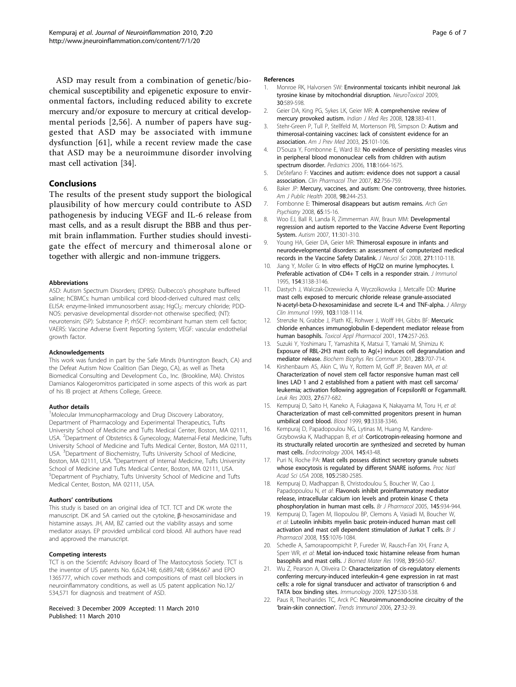<span id="page-5-0"></span>ASD may result from a combination of genetic/biochemical susceptibility and epigenetic exposure to environmental factors, including reduced ability to excrete mercury and/or exposure to mercury at critical developmental periods [2,[56](#page-6-0)]. A number of papers have suggested that ASD may be associated with immune dysfunction [[61\]](#page-6-0), while a recent review made the case that ASD may be a neuroimmune disorder involving mast cell activation [\[34](#page-6-0)].

# Conclusions

The results of the present study support the biological plausibility of how mercury could contribute to ASD pathogenesis by inducing VEGF and IL-6 release from mast cells, and as a result disrupt the BBB and thus permit brain inflammation. Further studies should investigate the effect of mercury and thimerosal alone or together with allergic and non-immune triggers.

#### Abbreviations

ASD: Autism Spectrum Disorders; (DPBS): Dulbecco's phosphate buffered saline; hCBMCs: human umbilical cord blood-derived cultured mast cells; ELISA: enzyme-linked immunosorbent assay; HgCl<sub>2</sub>: mercury chloride; PDD-NOS: pervasive developmental disorder-not otherwise specified; (NT): neurotensin; (SP): Substance P; rhSCF: recombinant human stem cell factor; VAERS: Vaccine Adverse Event Reporting System; VEGF: vascular endothelial growth factor.

#### Acknowledgements

This work was funded in part by the Safe Minds (Huntington Beach, CA) and the Defeat Autism Now Coalition (San Diego, CA), as well as Theta Biomedical Consulting and Development Co., Inc. (Brookline, MA). Christos Damianos Kalogeromitros participated in some aspects of this work as part of his IB project at Athens College, Greece.

#### Author details

<sup>1</sup>Molecular Immunopharmacology and Drug Discovery Laboratory, Department of Pharmacology and Experimental Therapeutics, Tufts University School of Medicine and Tufts Medical Center, Boston, MA 02111, USA. <sup>2</sup>Department of Obstetrics & Gynecology, Maternal-Fetal Medicine, Tufts University School of Medicine and Tufts Medical Center, Boston, MA 02111, USA. <sup>3</sup>Department of Biochemistry, Tufts University School of Medicine, Boston, MA 02111, USA. <sup>4</sup>Department of Internal Medicine, Tufts University School of Medicine and Tufts Medical Center, Boston, MA 02111, USA. 5 Department of Psychiatry, Tufts University School of Medicine and Tufts Medical Center, Boston, MA 02111, USA.

#### Authors' contributions

This study is based on an original idea of TCT. TCT and DK wrote the manuscript. DK and SA carried out the cytokine,  $\beta$ -hexosaminidase and histamine assays. JH, AM, BZ carried out the viability assays and some mediator assays. EP provided umbilical cord blood. All authors have read and approved the manuscript.

#### Competing interests

TCT is on the Scientifc Advisory Board of The Mastocytosis Society. TCT is the inventor of US patents No. 6,624,148; 6,689,748; 6,984,667 and EPO 1365777, which cover methods and compositions of mast cell blockers in neuroinflammatory conditions, as well as US patent application No.12/ 534,571 for diagnosis and treatment of ASD.

#### Received: 3 December 2009 Accepted: 11 March 2010 Published: 11 March 2010

#### References

- 1. Monroe RK, Halvorsen SW: Environmental toxicants inhibit neuronal Jak tyrosine kinase by mitochondrial disruption. NeuroToxicol 2009, 30:589-598.
- 2. Geier DA, King PG, Sykes LK, Geier MR: [A comprehensive review of](http://www.ncbi.nlm.nih.gov/pubmed/19106436?dopt=Abstract) [mercury provoked autism.](http://www.ncbi.nlm.nih.gov/pubmed/19106436?dopt=Abstract) Indian J Med Res 2008, 128:383-411.
- Stehr-Green P, Tull P, Stellfeld M, Mortenson PB, Simpson D: [Autism and](http://www.ncbi.nlm.nih.gov/pubmed/12880876?dopt=Abstract) [thimerosal-containing vaccines: lack of consistent evidence for an](http://www.ncbi.nlm.nih.gov/pubmed/12880876?dopt=Abstract) [association.](http://www.ncbi.nlm.nih.gov/pubmed/12880876?dopt=Abstract) Am J Prev Med 2003, 25:101-106.
- 4. D'Souza Y, Fombonne E, Ward BJ: [No evidence of persisting measles virus](http://www.ncbi.nlm.nih.gov/pubmed/17015560?dopt=Abstract) [in peripheral blood mononuclear cells from children with autism](http://www.ncbi.nlm.nih.gov/pubmed/17015560?dopt=Abstract) [spectrum disorder.](http://www.ncbi.nlm.nih.gov/pubmed/17015560?dopt=Abstract) Pediatrics 2006, 118:1664-1675.
- 5. DeStefano F: [Vaccines and autism: evidence does not support a causal](http://www.ncbi.nlm.nih.gov/pubmed/17928818?dopt=Abstract) [association.](http://www.ncbi.nlm.nih.gov/pubmed/17928818?dopt=Abstract) Clin Pharmacol Ther 2007, 82:756-759.
- 6. Baker JP: [Mercury, vaccines, and autism: One controversy, three histories.](http://www.ncbi.nlm.nih.gov/pubmed/18172138?dopt=Abstract) Am J Public Health 2008, 98:244-253.
- 7. Fombonne E: [Thimerosal disappears but autism remains.](http://www.ncbi.nlm.nih.gov/pubmed/18180423?dopt=Abstract) Arch Gen Psychiatry 2008, 65:15-16.
- 8. Woo EJ, Ball R, Landa R, Zimmerman AW, Braun MM: [Developmental](http://www.ncbi.nlm.nih.gov/pubmed/17656395?dopt=Abstract) [regression and autism reported to the Vaccine Adverse Event Reporting](http://www.ncbi.nlm.nih.gov/pubmed/17656395?dopt=Abstract) [System.](http://www.ncbi.nlm.nih.gov/pubmed/17656395?dopt=Abstract) Autism 2007, 11:301-310.
- 9. Young HA, Geier DA, Geier MR: [Thimerosal exposure in infants and](http://www.ncbi.nlm.nih.gov/pubmed/18482737?dopt=Abstract) [neurodevelopmental disorders: an assessment of computerized medical](http://www.ncbi.nlm.nih.gov/pubmed/18482737?dopt=Abstract) [records in the Vaccine Safety Datalink.](http://www.ncbi.nlm.nih.gov/pubmed/18482737?dopt=Abstract) J Neurol Sci 2008, 271:110-118.
- 10. Jiang Y, Moller G: [In vitro effects of HgCl2 on murine lymphocytes. I.](http://www.ncbi.nlm.nih.gov/pubmed/7897203?dopt=Abstract) [Preferable activation of CD4+ T cells in a responder strain.](http://www.ncbi.nlm.nih.gov/pubmed/7897203?dopt=Abstract) J Immunol 1995, 154:3138-3146.
- 11. Dastych J, Walczak-Drzewiecka A, Wyczolkowska J, Metcalfe DD: [Murine](http://www.ncbi.nlm.nih.gov/pubmed/10359893?dopt=Abstract) [mast cells exposed to mercuric chloride release granule-associated](http://www.ncbi.nlm.nih.gov/pubmed/10359893?dopt=Abstract) [N-acetyl-beta-D-hexosaminidase and secrete IL-4 and TNF-alpha.](http://www.ncbi.nlm.nih.gov/pubmed/10359893?dopt=Abstract) J Allergy Clin Immunol 1999, 103:1108-1114.
- 12. Strenzke N, Grabbe J, Plath KE, Rohwer J, Wolff HH, Gibbs BF: [Mercuric](http://www.ncbi.nlm.nih.gov/pubmed/11485386?dopt=Abstract) [chloride enhances immunoglobulin E-dependent mediator release from](http://www.ncbi.nlm.nih.gov/pubmed/11485386?dopt=Abstract) [human basophils.](http://www.ncbi.nlm.nih.gov/pubmed/11485386?dopt=Abstract) Toxicol Appl Pharmacol 2001, 174:257-263.
- 13. Suzuki Y, Yoshimaru T, Yamashita K, Matsui T, Yamaki M, Shimizu K: [Exposure of RBL-2H3 mast cells to Ag\(+\) induces cell degranulation and](http://www.ncbi.nlm.nih.gov/pubmed/11341783?dopt=Abstract) [mediator release.](http://www.ncbi.nlm.nih.gov/pubmed/11341783?dopt=Abstract) Biochem Biophys Res Commun 2001, 283:707-714.
- 14. Kirshenbaum AS, Akin C, Wu Y, Rottem M, Goff JP, Beaven MA, et al: [Characterization of novel stem cell factor responsive human mast cell](http://www.ncbi.nlm.nih.gov/pubmed/12801524?dopt=Abstract) [lines LAD 1 and 2 established from a patient with mast cell sarcoma/](http://www.ncbi.nlm.nih.gov/pubmed/12801524?dopt=Abstract) [leukemia; activation following aggregation of FcepsilonRI or FcgammaRI.](http://www.ncbi.nlm.nih.gov/pubmed/12801524?dopt=Abstract) Leuk Res 2003, 27:677-682.
- 15. Kempuraj D, Saito H, Kaneko A, Fukagawa K, Nakayama M, Toru H, et al: [Characterization of mast cell-committed progenitors present in human](http://www.ncbi.nlm.nih.gov/pubmed/10233886?dopt=Abstract) [umbilical cord blood.](http://www.ncbi.nlm.nih.gov/pubmed/10233886?dopt=Abstract) Blood 1999, 93:3338-3346.
- 16. Kempuraj D, Papadopoulou NG, Lytinas M, Huang M, Kandere-Grzybowska K, Madhappan B, et al: [Corticotropin-releasing hormone and](http://www.ncbi.nlm.nih.gov/pubmed/14576187?dopt=Abstract) [its structurally related urocortin are synthesized and secreted by human](http://www.ncbi.nlm.nih.gov/pubmed/14576187?dopt=Abstract) [mast cells.](http://www.ncbi.nlm.nih.gov/pubmed/14576187?dopt=Abstract) Endocrinology 2004, 145:43-48.
- 17. Puri N, Roche PA: [Mast cells possess distinct secretory granule subsets](http://www.ncbi.nlm.nih.gov/pubmed/18250339?dopt=Abstract) [whose exocytosis is regulated by different SNARE isoforms.](http://www.ncbi.nlm.nih.gov/pubmed/18250339?dopt=Abstract) Proc Natl Acad Sci USA 2008, 105:2580-2585
- 18. Kempuraj D, Madhappan B, Christodoulou S, Boucher W, Cao J, Papadopoulou N, et al: [Flavonols inhibit proinflammatory mediator](http://www.ncbi.nlm.nih.gov/pubmed/15912140?dopt=Abstract) [release, intracellular calcium ion levels and protein kinase C theta](http://www.ncbi.nlm.nih.gov/pubmed/15912140?dopt=Abstract) [phosphorylation in human mast cells.](http://www.ncbi.nlm.nih.gov/pubmed/15912140?dopt=Abstract) Br J Pharmacol 2005, 145:934-944.
- 19. Kempuraj D, Tagen M, Iliopoulou BP, Clemons A, Vasiadi M, Boucher W, et al: [Luteolin inhibits myelin basic protein-induced human mast cell](http://www.ncbi.nlm.nih.gov/pubmed/18806808?dopt=Abstract) [activation and mast cell dependent stimulation of Jurkat T cells.](http://www.ncbi.nlm.nih.gov/pubmed/18806808?dopt=Abstract) Br J Pharmacol 2008, 155:1076-1084.
- 20. Schedle A, Samorapoompichit P, Fureder W, Rausch-Fan XH, Franz A, Sperr WR, et al: [Metal ion-induced toxic histamine release from human](http://www.ncbi.nlm.nih.gov/pubmed/9492216?dopt=Abstract) [basophils and mast cells.](http://www.ncbi.nlm.nih.gov/pubmed/9492216?dopt=Abstract) J Biomed Mater Res 1998, 39:560-567.
- 21. Wu Z, Pearson A, Oliveira D: [Characterization of cis-regulatory elements](http://www.ncbi.nlm.nih.gov/pubmed/19604304?dopt=Abstract) [conferring mercury-induced interleukin-4 gene expression in rat mast](http://www.ncbi.nlm.nih.gov/pubmed/19604304?dopt=Abstract) [cells: a role for signal transducer and activator of transcription 6 and](http://www.ncbi.nlm.nih.gov/pubmed/19604304?dopt=Abstract) [TATA box binding sites.](http://www.ncbi.nlm.nih.gov/pubmed/19604304?dopt=Abstract) Immunology 2009, 127:530-538.
- 22. Paus R, Theoharides TC, Arck PC: [Neuroimmunoendocrine circuitry of the](http://www.ncbi.nlm.nih.gov/pubmed/16269267?dopt=Abstract) '[brain-skin connection](http://www.ncbi.nlm.nih.gov/pubmed/16269267?dopt=Abstract)'. Trends Immunol 2006, 27:32-39.